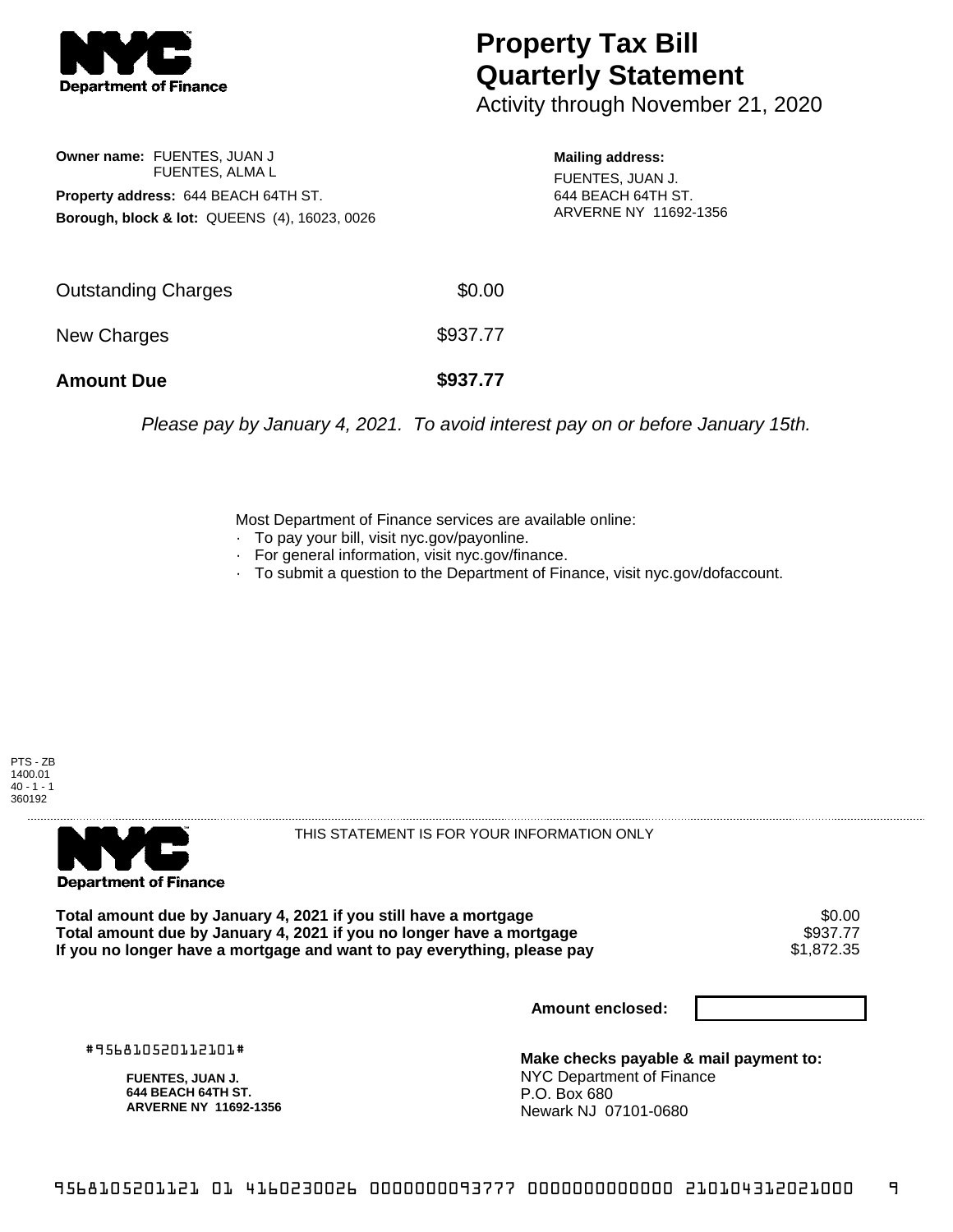

## **Property Tax Bill Quarterly Statement**

Activity through November 21, 2020

**Owner name:** FUENTES, JUAN J FUENTES, ALMA L **Property address:** 644 BEACH 64TH ST. **Borough, block & lot:** QUEENS (4), 16023, 0026 **Mailing address:**

FUENTES, JUAN J. 644 BEACH 64TH ST. ARVERNE NY 11692-1356

| <b>Outstanding Charges</b> | \$0.00   |
|----------------------------|----------|
| New Charges                | \$937.77 |
| <b>Amount Due</b>          | \$937.77 |

Please pay by January 4, 2021. To avoid interest pay on or before January 15th.

Most Department of Finance services are available online:

- · To pay your bill, visit nyc.gov/payonline.
- For general information, visit nyc.gov/finance.
- · To submit a question to the Department of Finance, visit nyc.gov/dofaccount.

PTS - ZB 1400.01  $40 - 1 - 1$ 360192



THIS STATEMENT IS FOR YOUR INFORMATION ONLY

Total amount due by January 4, 2021 if you still have a mortgage \$0.00<br>Total amount due by January 4, 2021 if you no longer have a mortgage \$937.77 **Total amount due by January 4, 2021 if you no longer have a mortgage \$937.77<br>If you no longer have a mortgage and want to pay everything, please pay \$1.872.35** If you no longer have a mortgage and want to pay everything, please pay

**Amount enclosed:**

#956810520112101#

**FUENTES, JUAN J. 644 BEACH 64TH ST. ARVERNE NY 11692-1356**

**Make checks payable & mail payment to:** NYC Department of Finance P.O. Box 680 Newark NJ 07101-0680